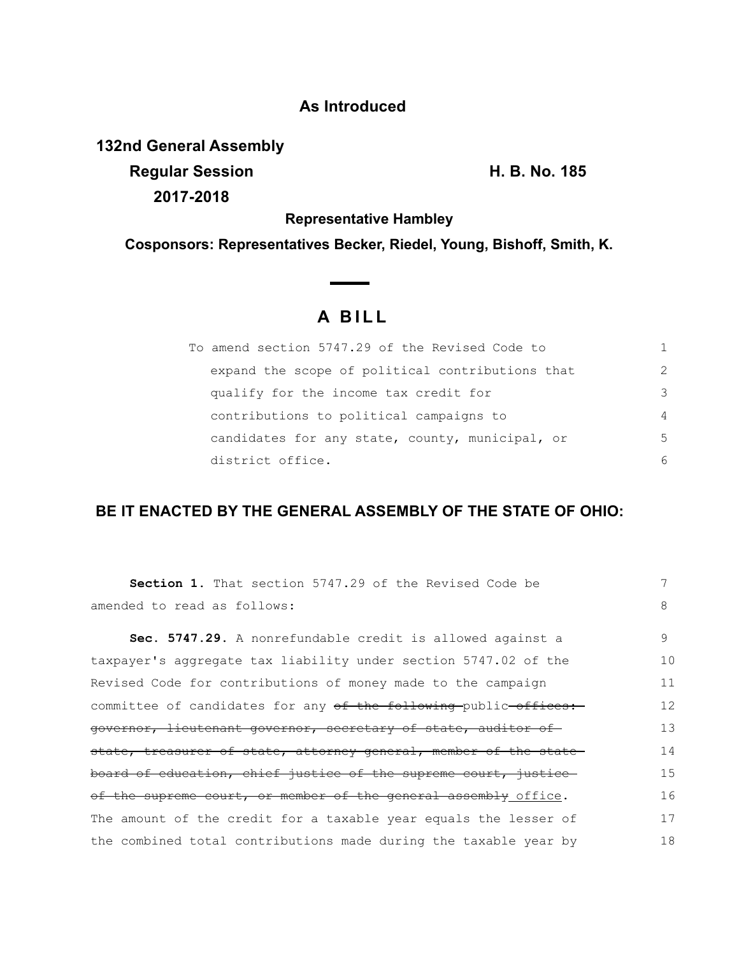## **As Introduced**

**132nd General Assembly Regular Session H. B. No. 185**

**2017-2018**

**Representative Hambley**

**Cosponsors: Representatives Becker, Riedel, Young, Bishoff, Smith, K.**

## **A B I L L**

 $\sim$   $\sim$ 

| To amend section 5747.29 of the Revised Code to  |                |
|--------------------------------------------------|----------------|
| expand the scope of political contributions that | $\mathcal{P}$  |
| qualify for the income tax credit for            | 3              |
| contributions to political campaigns to          | $\overline{4}$ |
| candidates for any state, county, municipal, or  | 5              |
| district office.                                 | 6              |

## **BE IT ENACTED BY THE GENERAL ASSEMBLY OF THE STATE OF OHIO:**

| <b>Section 1.</b> That section 5747.29 of the Revised Code be     |    |
|-------------------------------------------------------------------|----|
| amended to read as follows:                                       | 8  |
| Sec. 5747.29. A nonrefundable credit is allowed against a         | 9  |
| taxpayer's aggregate tax liability under section 5747.02 of the   | 10 |
| Revised Code for contributions of money made to the campaign      | 11 |
| committee of candidates for any of the following public offices:  | 12 |
| governor, lieutenant governor, secretary of state, auditor of     | 13 |
| state, treasurer of state, attorney general, member of the state- | 14 |
| board of education, chief justice of the supreme court, justice   | 15 |
| of the supreme court, or member of the general assembly office.   | 16 |
| The amount of the credit for a taxable year equals the lesser of  | 17 |
| the combined total contributions made during the taxable year by  | 18 |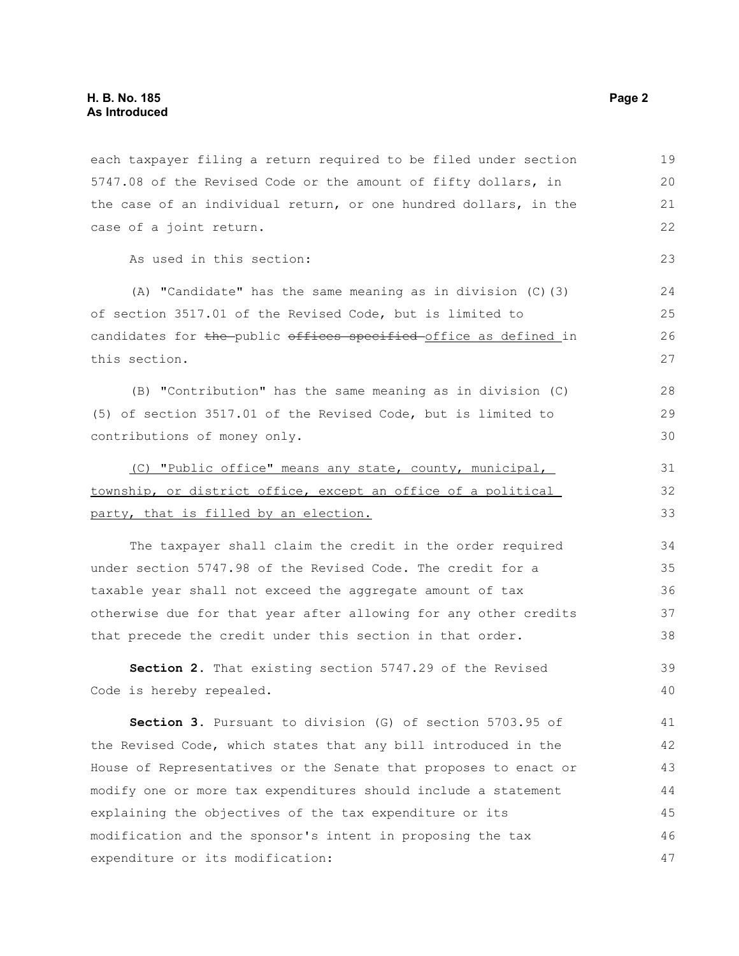each taxpayer filing a return required to be filed under section 5747.08 of the Revised Code or the amount of fifty dollars, in the case of an individual return, or one hundred dollars, in the case of a joint return. As used in this section: (A) "Candidate" has the same meaning as in division (C)(3) of section 3517.01 of the Revised Code, but is limited to candidates for the public offices specified office as defined in this section. (B) "Contribution" has the same meaning as in division (C) (5) of section 3517.01 of the Revised Code, but is limited to 19 20 21 22 23 24 25 26 27 28 29

contributions of money only.

(C) "Public office" means any state, county, municipal, township, or district office, except an office of a political party, that is filled by an election. 31

The taxpayer shall claim the credit in the order required under section 5747.98 of the Revised Code. The credit for a taxable year shall not exceed the aggregate amount of tax otherwise due for that year after allowing for any other credits that precede the credit under this section in that order. 34 35 36 37 38

**Section 2.** That existing section 5747.29 of the Revised Code is hereby repealed. 39 40

**Section 3.** Pursuant to division (G) of section 5703.95 of the Revised Code, which states that any bill introduced in the House of Representatives or the Senate that proposes to enact or modify one or more tax expenditures should include a statement explaining the objectives of the tax expenditure or its modification and the sponsor's intent in proposing the tax expenditure or its modification: 41 42 43 44 45 46 47

30

32 33